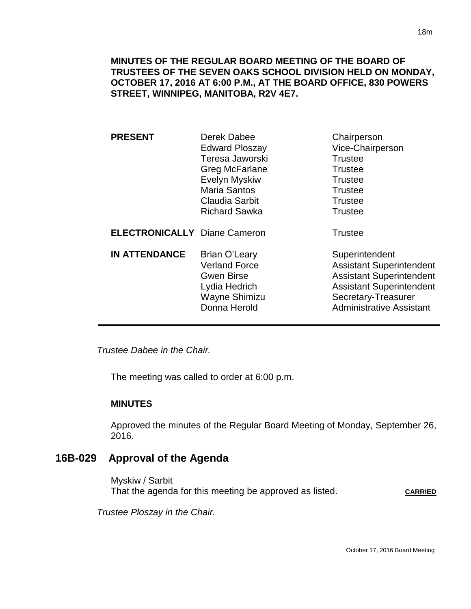**MINUTES OF THE REGULAR BOARD MEETING OF THE BOARD OF TRUSTEES OF THE SEVEN OAKS SCHOOL DIVISION HELD ON MONDAY, OCTOBER 17, 2016 AT 6:00 P.M., AT THE BOARD OFFICE, 830 POWERS STREET, WINNIPEG, MANITOBA, R2V 4E7.**

| <b>PRESENT</b>                      | Derek Dabee<br><b>Edward Ploszay</b><br>Teresa Jaworski<br>Greg McFarlane<br><b>Evelyn Myskiw</b><br><b>Maria Santos</b><br><b>Claudia Sarbit</b><br><b>Richard Sawka</b> | Chairperson<br>Vice-Chairperson<br><b>Trustee</b><br><b>Trustee</b><br><b>Trustee</b><br><b>Trustee</b><br><b>Trustee</b><br><b>Trustee</b>                                       |
|-------------------------------------|---------------------------------------------------------------------------------------------------------------------------------------------------------------------------|-----------------------------------------------------------------------------------------------------------------------------------------------------------------------------------|
| <b>ELECTRONICALLY Diane Cameron</b> |                                                                                                                                                                           | <b>Trustee</b>                                                                                                                                                                    |
| <b>IN ATTENDANCE</b>                | Brian O'Leary<br><b>Verland Force</b><br>Gwen Birse<br>Lydia Hedrich<br>Wayne Shimizu<br>Donna Herold                                                                     | Superintendent<br><b>Assistant Superintendent</b><br><b>Assistant Superintendent</b><br><b>Assistant Superintendent</b><br>Secretary-Treasurer<br><b>Administrative Assistant</b> |

*Trustee Dabee in the Chair.* 

The meeting was called to order at 6:00 p.m.

#### **MINUTES**

Approved the minutes of the Regular Board Meeting of Monday, September 26, 2016.

## **16B-029 Approval of the Agenda**

Myskiw / Sarbit That the agenda for this meeting be approved as listed. CARRIED

*Trustee Ploszay in the Chair.*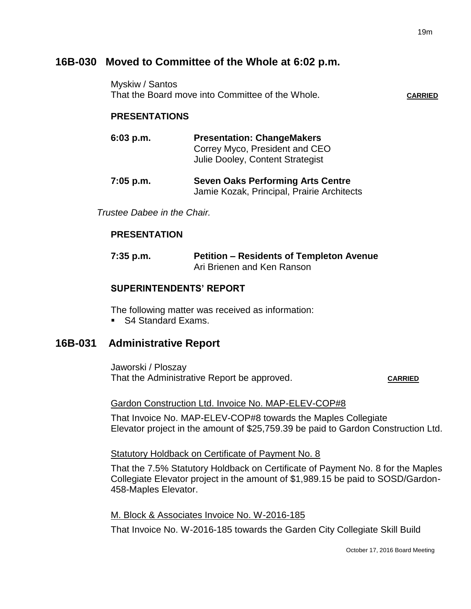# **16B-030 Moved to Committee of the Whole at 6:02 p.m.**

Myskiw / Santos That the Board move into Committee of the Whole**. CARRIED**

### **PRESENTATIONS**

**6:03 p.m. Presentation: ChangeMakers** Correy Myco, President and CEO Julie Dooley, Content Strategist

**7:05 p.m. Seven Oaks Performing Arts Centre** Jamie Kozak, Principal, Prairie Architects

*Trustee Dabee in the Chair.*

#### **PRESENTATION**

**7:35 p.m. Petition – Residents of Templeton Avenue** Ari Brienen and Ken Ranson

## **SUPERINTENDENTS' REPORT**

The following matter was received as information:

■ S4 Standard Exams.

# **16B-031 Administrative Report**

Jaworski / Ploszay That the Administrative Report be approved. CARRIED

#### Gardon Construction Ltd. Invoice No. MAP-ELEV-COP#8

That Invoice No. MAP-ELEV-COP#8 towards the Maples Collegiate Elevator project in the amount of \$25,759.39 be paid to Gardon Construction Ltd.

#### Statutory Holdback on Certificate of Payment No. 8

That the 7.5% Statutory Holdback on Certificate of Payment No. 8 for the Maples Collegiate Elevator project in the amount of \$1,989.15 be paid to SOSD/Gardon-458-Maples Elevator.

M. Block & Associates Invoice No. W-2016-185

That Invoice No. W-2016-185 towards the Garden City Collegiate Skill Build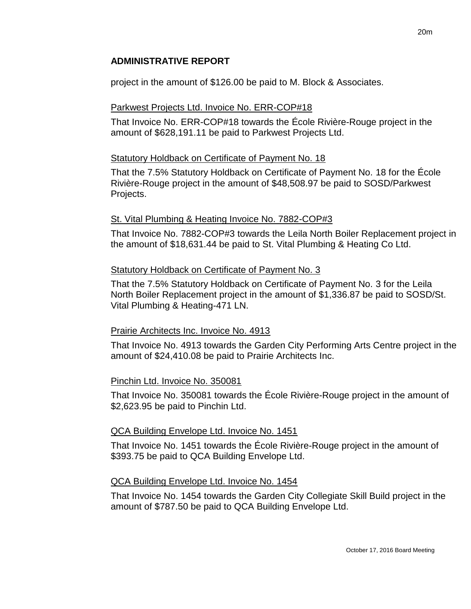## **ADMINISTRATIVE REPORT**

project in the amount of \$126.00 be paid to M. Block & Associates.

## Parkwest Projects Ltd. Invoice No. ERR-COP#18

That Invoice No. ERR-COP#18 towards the École Rivière-Rouge project in the amount of \$628,191.11 be paid to Parkwest Projects Ltd.

## Statutory Holdback on Certificate of Payment No. 18

That the 7.5% Statutory Holdback on Certificate of Payment No. 18 for the École Rivière-Rouge project in the amount of \$48,508.97 be paid to SOSD/Parkwest Projects.

## St. Vital Plumbing & Heating Invoice No. 7882-COP#3

That Invoice No. 7882-COP#3 towards the Leila North Boiler Replacement project in the amount of \$18,631.44 be paid to St. Vital Plumbing & Heating Co Ltd.

## Statutory Holdback on Certificate of Payment No. 3

That the 7.5% Statutory Holdback on Certificate of Payment No. 3 for the Leila North Boiler Replacement project in the amount of \$1,336.87 be paid to SOSD/St. Vital Plumbing & Heating-471 LN.

# Prairie Architects Inc. Invoice No. 4913

That Invoice No. 4913 towards the Garden City Performing Arts Centre project in the amount of \$24,410.08 be paid to Prairie Architects Inc.

### Pinchin Ltd. Invoice No. 350081

That Invoice No. 350081 towards the École Rivière-Rouge project in the amount of \$2,623.95 be paid to Pinchin Ltd.

# QCA Building Envelope Ltd. Invoice No. 1451

That Invoice No. 1451 towards the École Rivière-Rouge project in the amount of \$393.75 be paid to QCA Building Envelope Ltd.

# QCA Building Envelope Ltd. Invoice No. 1454

That Invoice No. 1454 towards the Garden City Collegiate Skill Build project in the amount of \$787.50 be paid to QCA Building Envelope Ltd.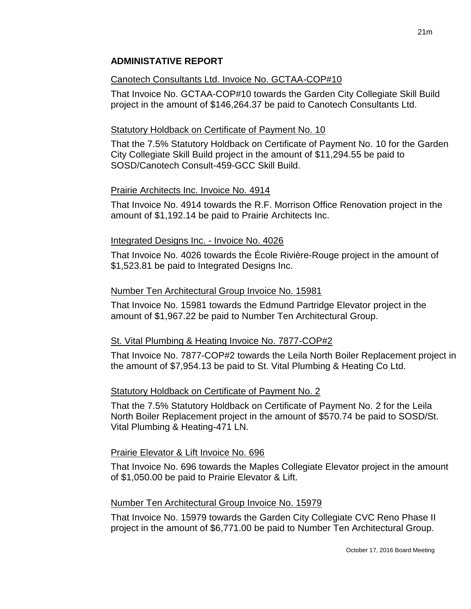# Canotech Consultants Ltd. Invoice No. GCTAA-COP#10

That Invoice No. GCTAA-COP#10 towards the Garden City Collegiate Skill Build project in the amount of \$146,264.37 be paid to Canotech Consultants Ltd.

# Statutory Holdback on Certificate of Payment No. 10

That the 7.5% Statutory Holdback on Certificate of Payment No. 10 for the Garden City Collegiate Skill Build project in the amount of \$11,294.55 be paid to SOSD/Canotech Consult-459-GCC Skill Build.

# Prairie Architects Inc. Invoice No. 4914

That Invoice No. 4914 towards the R.F. Morrison Office Renovation project in the amount of \$1,192.14 be paid to Prairie Architects Inc.

# Integrated Designs Inc. - Invoice No. 4026

That Invoice No. 4026 towards the École Rivière-Rouge project in the amount of \$1,523.81 be paid to Integrated Designs Inc.

# Number Ten Architectural Group Invoice No. 15981

That Invoice No. 15981 towards the Edmund Partridge Elevator project in the amount of \$1,967.22 be paid to Number Ten Architectural Group.

# St. Vital Plumbing & Heating Invoice No. 7877-COP#2

That Invoice No. 7877-COP#2 towards the Leila North Boiler Replacement project in the amount of \$7,954.13 be paid to St. Vital Plumbing & Heating Co Ltd.

# Statutory Holdback on Certificate of Payment No. 2

That the 7.5% Statutory Holdback on Certificate of Payment No. 2 for the Leila North Boiler Replacement project in the amount of \$570.74 be paid to SOSD/St. Vital Plumbing & Heating-471 LN.

# Prairie Elevator & Lift Invoice No. 696

That Invoice No. 696 towards the Maples Collegiate Elevator project in the amount of \$1,050.00 be paid to Prairie Elevator & Lift.

# Number Ten Architectural Group Invoice No. 15979

That Invoice No. 15979 towards the Garden City Collegiate CVC Reno Phase II project in the amount of \$6,771.00 be paid to Number Ten Architectural Group.

21m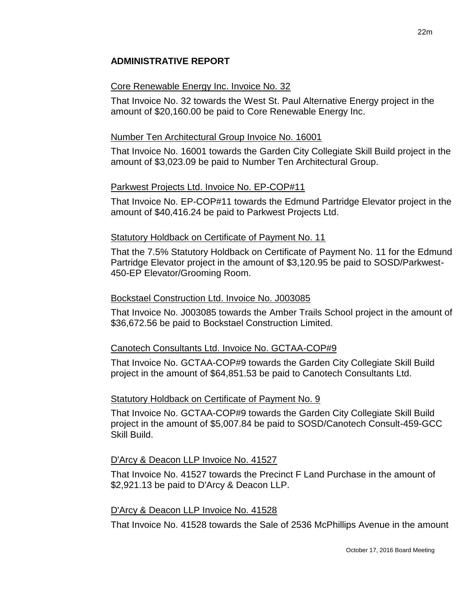# **ADMINISTRATIVE REPORT**

#### Core Renewable Energy Inc. Invoice No. 32

That Invoice No. 32 towards the West St. Paul Alternative Energy project in the amount of \$20,160.00 be paid to Core Renewable Energy Inc.

#### Number Ten Architectural Group Invoice No. 16001

That Invoice No. 16001 towards the Garden City Collegiate Skill Build project in the amount of \$3,023.09 be paid to Number Ten Architectural Group.

### Parkwest Projects Ltd. Invoice No. EP-COP#11

That Invoice No. EP-COP#11 towards the Edmund Partridge Elevator project in the amount of \$40,416.24 be paid to Parkwest Projects Ltd.

#### Statutory Holdback on Certificate of Payment No. 11

That the 7.5% Statutory Holdback on Certificate of Payment No. 11 for the Edmund Partridge Elevator project in the amount of \$3,120.95 be paid to SOSD/Parkwest-450-EP Elevator/Grooming Room.

#### Bockstael Construction Ltd. Invoice No. J003085

That Invoice No. J003085 towards the Amber Trails School project in the amount of \$36,672.56 be paid to Bockstael Construction Limited.

### Canotech Consultants Ltd. Invoice No. GCTAA-COP#9

That Invoice No. GCTAA-COP#9 towards the Garden City Collegiate Skill Build project in the amount of \$64,851.53 be paid to Canotech Consultants Ltd.

### Statutory Holdback on Certificate of Payment No. 9

That Invoice No. GCTAA-COP#9 towards the Garden City Collegiate Skill Build project in the amount of \$5,007.84 be paid to SOSD/Canotech Consult-459-GCC Skill Build.

### D'Arcy & Deacon LLP Invoice No. 41527

That Invoice No. 41527 towards the Precinct F Land Purchase in the amount of \$2,921.13 be paid to D'Arcy & Deacon LLP.

#### D'Arcy & Deacon LLP Invoice No. 41528

That Invoice No. 41528 towards the Sale of 2536 McPhillips Avenue in the amount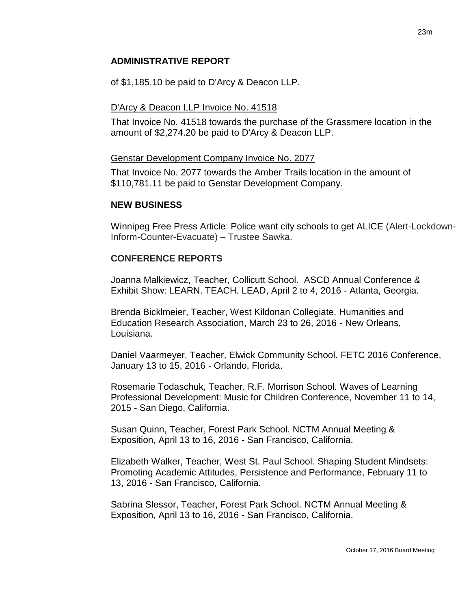## **ADMINISTRATIVE REPORT**

of \$1,185.10 be paid to D'Arcy & Deacon LLP.

### D'Arcy & Deacon LLP Invoice No. 41518

That Invoice No. 41518 towards the purchase of the Grassmere location in the amount of \$2,274.20 be paid to D'Arcy & Deacon LLP.

#### Genstar Development Company Invoice No. 2077

That Invoice No. 2077 towards the Amber Trails location in the amount of \$110,781.11 be paid to Genstar Development Company.

### **NEW BUSINESS**

Winnipeg Free Press Article: Police want city schools to get ALICE (Alert-Lockdown-Inform-Counter-Evacuate) – Trustee Sawka.

### **CONFERENCE REPORTS**

Joanna Malkiewicz, Teacher, Collicutt School. ASCD Annual Conference & Exhibit Show: LEARN. TEACH. LEAD, April 2 to 4, 2016 - Atlanta, Georgia.

Brenda Bicklmeier, Teacher, West Kildonan Collegiate. Humanities and Education Research Association, March 23 to 26, 2016 - New Orleans, Louisiana.

Daniel Vaarmeyer, Teacher, Elwick Community School. FETC 2016 Conference, January 13 to 15, 2016 - Orlando, Florida.

Rosemarie Todaschuk, Teacher, R.F. Morrison School. Waves of Learning Professional Development: Music for Children Conference, November 11 to 14, 2015 - San Diego, California.

Susan Quinn, Teacher, Forest Park School. NCTM Annual Meeting & Exposition, April 13 to 16, 2016 - San Francisco, California.

Elizabeth Walker, Teacher, West St. Paul School. Shaping Student Mindsets: Promoting Academic Attitudes, Persistence and Performance, February 11 to 13, 2016 - San Francisco, California.

Sabrina Slessor, Teacher, Forest Park School. NCTM Annual Meeting & Exposition, April 13 to 16, 2016 - San Francisco, California.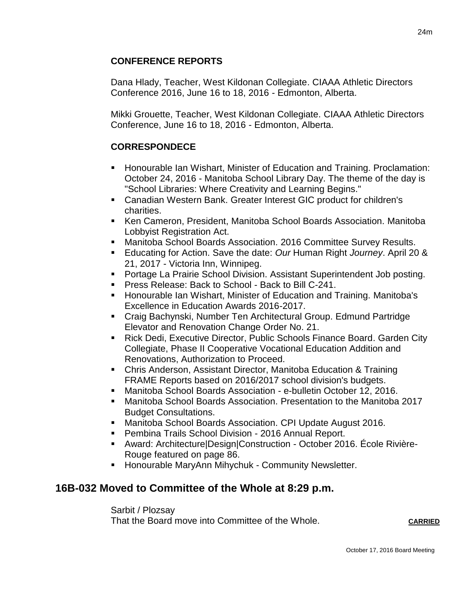# **CONFERENCE REPORTS**

Dana Hlady, Teacher, West Kildonan Collegiate. CIAAA Athletic Directors Conference 2016, June 16 to 18, 2016 - Edmonton, Alberta.

Mikki Grouette, Teacher, West Kildonan Collegiate. CIAAA Athletic Directors Conference, June 16 to 18, 2016 - Edmonton, Alberta.

# **CORRESPONDECE**

- Honourable Ian Wishart, Minister of Education and Training. Proclamation: October 24, 2016 - Manitoba School Library Day. The theme of the day is "School Libraries: Where Creativity and Learning Begins."
- Canadian Western Bank. Greater Interest GIC product for children's charities.
- Ken Cameron, President, Manitoba School Boards Association. Manitoba Lobbyist Registration Act.
- Manitoba School Boards Association. 2016 Committee Survey Results.
- Educating for Action. Save the date: *Our* Human Right *Journey*. April 20 & 21, 2017 - Victoria Inn, Winnipeg.
- **Portage La Prairie School Division. Assistant Superintendent Job posting.**
- **Press Release: Back to School Back to Bill C-241.**
- Honourable Ian Wishart, Minister of Education and Training. Manitoba's Excellence in Education Awards 2016-2017.
- Craig Bachynski, Number Ten Architectural Group. Edmund Partridge Elevator and Renovation Change Order No. 21.
- Rick Dedi, Executive Director, Public Schools Finance Board. Garden City Collegiate, Phase II Cooperative Vocational Education Addition and Renovations, Authorization to Proceed.
- Chris Anderson, Assistant Director, Manitoba Education & Training FRAME Reports based on 2016/2017 school division's budgets.
- Manitoba School Boards Association e-bulletin October 12, 2016.
- Manitoba School Boards Association. Presentation to the Manitoba 2017 Budget Consultations.
- Manitoba School Boards Association. CPI Update August 2016.
- **Pembina Trails School Division 2016 Annual Report.**
- Award: Architecture|Design|Construction October 2016. École Rivière-Rouge featured on page 86.
- **Honourable MaryAnn Mihychuk Community Newsletter.**

# **16B-032 Moved to Committee of the Whole at 8:29 p.m.**

Sarbit / Plozsay That the Board move into Committee of the Whole. **CARRIED**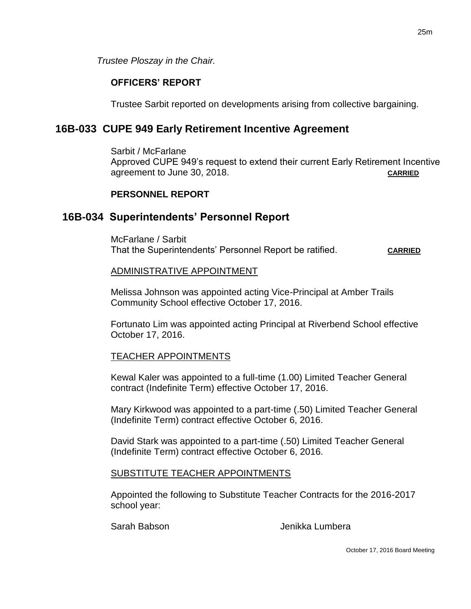*Trustee Ploszay in the Chair.*

## **OFFICERS' REPORT**

Trustee Sarbit reported on developments arising from collective bargaining.

# **16B-033 CUPE 949 Early Retirement Incentive Agreement**

Sarbit / McFarlane Approved CUPE 949's request to extend their current Early Retirement Incentive agreement to June 30, 2018. **CARRIED**

### **PERSONNEL REPORT**

# **16B-034 Superintendents' Personnel Report**

McFarlane / Sarbit That the Superintendents' Personnel Report be ratified. CARRIED

### ADMINISTRATIVE APPOINTMENT

Melissa Johnson was appointed acting Vice-Principal at Amber Trails Community School effective October 17, 2016.

Fortunato Lim was appointed acting Principal at Riverbend School effective October 17, 2016.

### TEACHER APPOINTMENTS

Kewal Kaler was appointed to a full-time (1.00) Limited Teacher General contract (Indefinite Term) effective October 17, 2016.

Mary Kirkwood was appointed to a part-time (.50) Limited Teacher General (Indefinite Term) contract effective October 6, 2016.

David Stark was appointed to a part-time (.50) Limited Teacher General (Indefinite Term) contract effective October 6, 2016.

### SUBSTITUTE TEACHER APPOINTMENTS

Appointed the following to Substitute Teacher Contracts for the 2016-2017 school year:

Sarah Babson Jenikka Lumbera

October 17, 2016 Board Meeting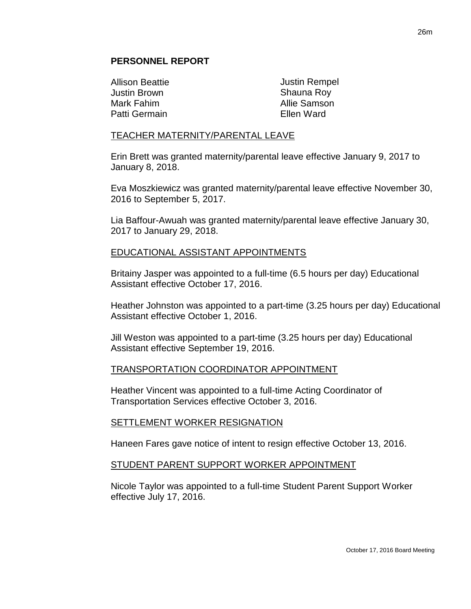#### **PERSONNEL REPORT**

Allison Beattie Justin Brown Mark Fahim Patti Germain

Justin Rempel Shauna Roy Allie Samson Ellen Ward

#### TEACHER MATERNITY/PARENTAL LEAVE

Erin Brett was granted maternity/parental leave effective January 9, 2017 to January 8, 2018.

Eva Moszkiewicz was granted maternity/parental leave effective November 30, 2016 to September 5, 2017.

Lia Baffour-Awuah was granted maternity/parental leave effective January 30, 2017 to January 29, 2018.

#### EDUCATIONAL ASSISTANT APPOINTMENTS

Britainy Jasper was appointed to a full-time (6.5 hours per day) Educational Assistant effective October 17, 2016.

Heather Johnston was appointed to a part-time (3.25 hours per day) Educational Assistant effective October 1, 2016.

Jill Weston was appointed to a part-time (3.25 hours per day) Educational Assistant effective September 19, 2016.

#### TRANSPORTATION COORDINATOR APPOINTMENT

Heather Vincent was appointed to a full-time Acting Coordinator of Transportation Services effective October 3, 2016.

#### SETTLEMENT WORKER RESIGNATION

Haneen Fares gave notice of intent to resign effective October 13, 2016.

#### STUDENT PARENT SUPPORT WORKER APPOINTMENT

Nicole Taylor was appointed to a full-time Student Parent Support Worker effective July 17, 2016.